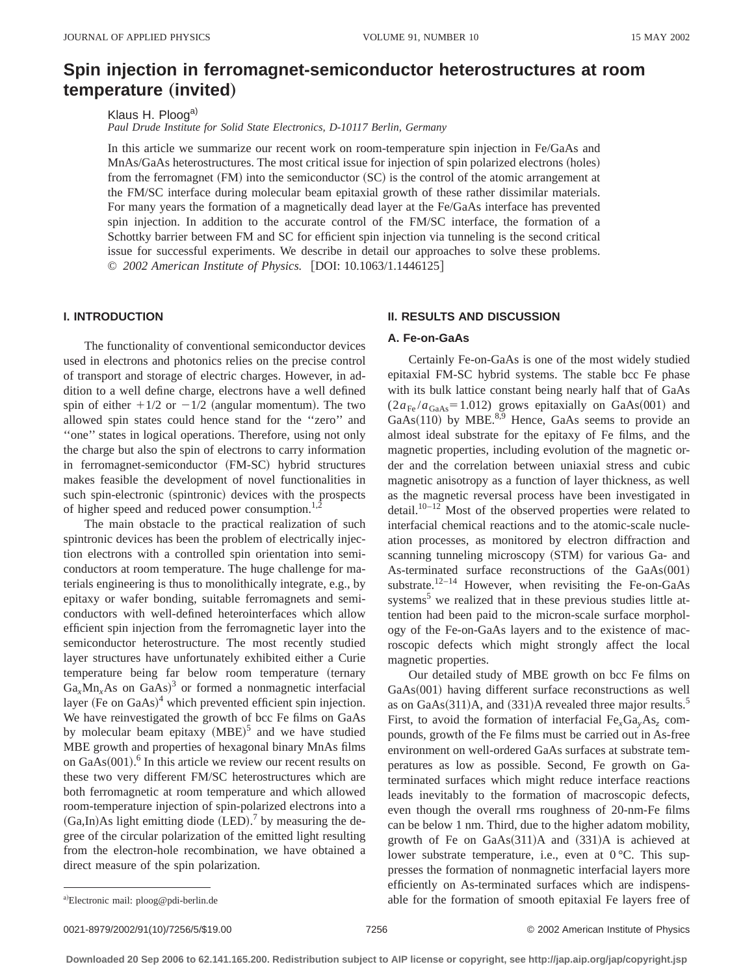# **Spin injection in ferromagnet-semiconductor heterostructures at room**  $temperature$  (invited)

Klaus H. Ploog<sup>a)</sup> *Paul Drude Institute for Solid State Electronics, D-10117 Berlin, Germany*

In this article we summarize our recent work on room-temperature spin injection in Fe/GaAs and MnAs/GaAs heterostructures. The most critical issue for injection of spin polarized electrons (holes) from the ferromagnet  $(FM)$  into the semiconductor  $(SC)$  is the control of the atomic arrangement at the FM/SC interface during molecular beam epitaxial growth of these rather dissimilar materials. For many years the formation of a magnetically dead layer at the Fe/GaAs interface has prevented spin injection. In addition to the accurate control of the FM/SC interface, the formation of a Schottky barrier between FM and SC for efficient spin injection via tunneling is the second critical issue for successful experiments. We describe in detail our approaches to solve these problems. © *2002 American Institute of Physics.* [DOI: 10.1063/1.1446125]

# **I. INTRODUCTION**

The functionality of conventional semiconductor devices used in electrons and photonics relies on the precise control of transport and storage of electric charges. However, in addition to a well define charge, electrons have a well defined spin of either  $+1/2$  or  $-1/2$  (angular momentum). The two allowed spin states could hence stand for the ''zero'' and "one" states in logical operations. Therefore, using not only the charge but also the spin of electrons to carry information in ferromagnet-semiconductor (FM-SC) hybrid structures makes feasible the development of novel functionalities in such spin-electronic (spintronic) devices with the prospects of higher speed and reduced power consumption. $1,2$ 

The main obstacle to the practical realization of such spintronic devices has been the problem of electrically injection electrons with a controlled spin orientation into semiconductors at room temperature. The huge challenge for materials engineering is thus to monolithically integrate, e.g., by epitaxy or wafer bonding, suitable ferromagnets and semiconductors with well-defined heterointerfaces which allow efficient spin injection from the ferromagnetic layer into the semiconductor heterostructure. The most recently studied layer structures have unfortunately exhibited either a Curie temperature being far below room temperature (ternary  $Ga_x Mn_xAs$  on  $GaAs$ )<sup>3</sup> or formed a nonmagnetic interfacial layer (Fe on GaAs) $4$  which prevented efficient spin injection. We have reinvestigated the growth of bcc Fe films on GaAs by molecular beam epitaxy  $(MBE)^5$  and we have studied MBE growth and properties of hexagonal binary MnAs films on  $GaAs(001)$ .<sup>6</sup> In this article we review our recent results on these two very different FM/SC heterostructures which are both ferromagnetic at room temperature and which allowed room-temperature injection of spin-polarized electrons into a  $(Ga, In)$ As light emitting diode  $(LED)$ .<sup>7</sup> by measuring the degree of the circular polarization of the emitted light resulting from the electron-hole recombination, we have obtained a direct measure of the spin polarization.

## **II. RESULTS AND DISCUSSION**

### **A. Fe-on-GaAs**

Certainly Fe-on-GaAs is one of the most widely studied epitaxial FM-SC hybrid systems. The stable bcc Fe phase with its bulk lattice constant being nearly half that of GaAs  $(2a_{Fe}/a_{GaAs} = 1.012)$  grows epitaxially on GaAs(001) and  $GaAs(110)$  by MBE.<sup>8,9</sup> Hence, GaAs seems to provide an almost ideal substrate for the epitaxy of Fe films, and the magnetic properties, including evolution of the magnetic order and the correlation between uniaxial stress and cubic magnetic anisotropy as a function of layer thickness, as well as the magnetic reversal process have been investigated in detail.<sup>10–12</sup> Most of the observed properties were related to interfacial chemical reactions and to the atomic-scale nucleation processes, as monitored by electron diffraction and scanning tunneling microscopy (STM) for various Ga- and As-terminated surface reconstructions of the  $GaAs(001)$ substrate.<sup>12–14</sup> However, when revisiting the Fe-on-GaAs systems<sup>5</sup> we realized that in these previous studies little attention had been paid to the micron-scale surface morphology of the Fe-on-GaAs layers and to the existence of macroscopic defects which might strongly affect the local magnetic properties.

Our detailed study of MBE growth on bcc Fe films on  $GaAs(001)$  having different surface reconstructions as well as on  $GaAs(311)A$ , and  $(331)A$  revealed three major results.<sup>5</sup> First, to avoid the formation of interfacial Fe<sub>x</sub>Ga<sub>y</sub>As<sub>z</sub> compounds, growth of the Fe films must be carried out in As-free environment on well-ordered GaAs surfaces at substrate temperatures as low as possible. Second, Fe growth on Gaterminated surfaces which might reduce interface reactions leads inevitably to the formation of macroscopic defects, even though the overall rms roughness of 20-nm-Fe films can be below 1 nm. Third, due to the higher adatom mobility, growth of Fe on GaAs $(311)$ A and  $(331)$ A is achieved at lower substrate temperature, i.e., even at  $0^{\circ}$ C. This suppresses the formation of nonmagnetic interfacial layers more efficiently on As-terminated surfaces which are indispensable for the formation of smooth epitaxial Fe layers free of

0021-8979/2002/91(10)/7256/5/\$19.00 © 2002 American Institute of Physics 7256

a)Electronic mail: ploog@pdi-berlin.de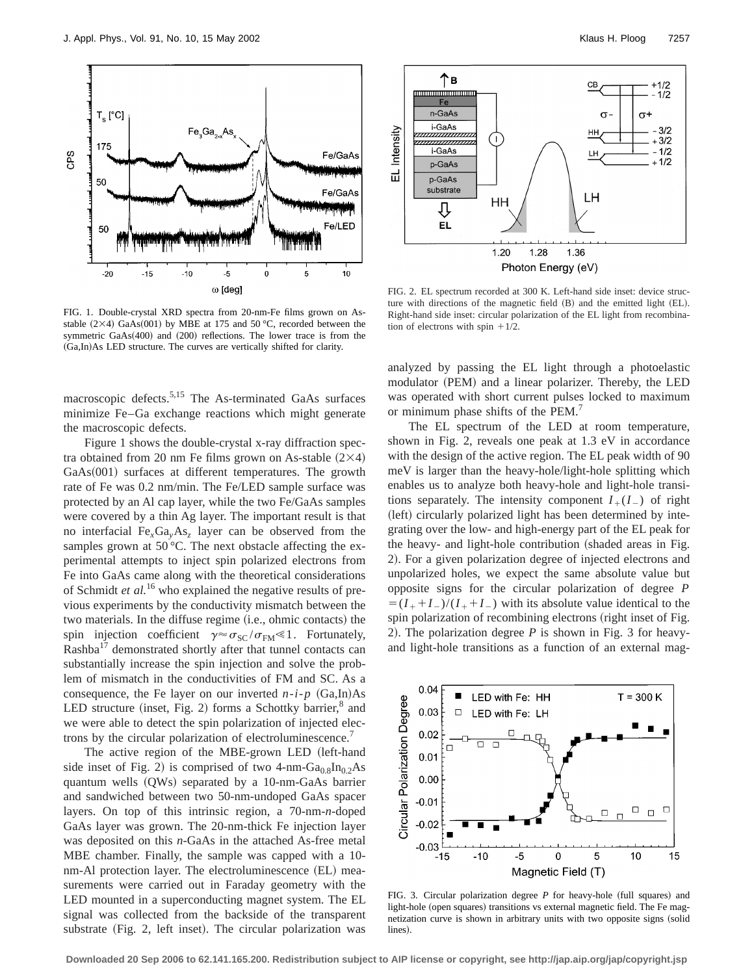

FIG. 1. Double-crystal XRD spectra from 20-nm-Fe films grown on Asstable  $(2\times4)$  GaAs $(001)$  by MBE at 175 and 50 °C, recorded between the symmetric  $GaAs(400)$  and  $(200)$  reflections. The lower trace is from the (Ga,In)As LED structure. The curves are vertically shifted for clarity.

macroscopic defects.<sup>5,15</sup> The As-terminated GaAs surfaces minimize Fe–Ga exchange reactions which might generate the macroscopic defects.

Figure 1 shows the double-crystal x-ray diffraction spectra obtained from 20 nm Fe films grown on As-stable  $(2\times4)$  $GaAs(001)$  surfaces at different temperatures. The growth rate of Fe was 0.2 nm/min. The Fe/LED sample surface was protected by an Al cap layer, while the two Fe/GaAs samples were covered by a thin Ag layer. The important result is that no interfacial  $Fe<sub>x</sub>Ga<sub>y</sub>As<sub>z</sub>$  layer can be observed from the samples grown at 50 °C. The next obstacle affecting the experimental attempts to inject spin polarized electrons from Fe into GaAs came along with the theoretical considerations of Schmidt *et al.*<sup>16</sup> who explained the negative results of previous experiments by the conductivity mismatch between the two materials. In the diffuse regime (i.e., ohmic contacts) the spin injection coefficient  $\gamma \approx \sigma_{SC} / \sigma_{FM} \le 1$ . Fortunately, Rashba<sup>17</sup> demonstrated shortly after that tunnel contacts can substantially increase the spin injection and solve the problem of mismatch in the conductivities of FM and SC. As a consequence, the Fe layer on our inverted  $n-i-p$   $(Ga, In)As$ LED structure (inset, Fig. 2) forms a Schottky barrier, $^8$  and we were able to detect the spin polarization of injected electrons by the circular polarization of electroluminescence.<sup>7</sup>

The active region of the MBE-grown LED (left-hand side inset of Fig. 2) is comprised of two 4-nm-Ga<sub>0.8</sub>In<sub>0.2</sub>As quantum wells  $(QWs)$  separated by a 10-nm-GaAs barrier and sandwiched between two 50-nm-undoped GaAs spacer layers. On top of this intrinsic region, a 70-nm-*n*-doped GaAs layer was grown. The 20-nm-thick Fe injection layer was deposited on this *n*-GaAs in the attached As-free metal MBE chamber. Finally, the sample was capped with a 10 nm-Al protection layer. The electroluminescence (EL) measurements were carried out in Faraday geometry with the LED mounted in a superconducting magnet system. The EL signal was collected from the backside of the transparent substrate (Fig. 2, left inset). The circular polarization was



FIG. 2. EL spectrum recorded at 300 K. Left-hand side inset: device structure with directions of the magnetic field (B) and the emitted light (EL). Right-hand side inset: circular polarization of the EL light from recombination of electrons with spin  $+1/2$ .

analyzed by passing the EL light through a photoelastic modulator (PEM) and a linear polarizer. Thereby, the LED was operated with short current pulses locked to maximum or minimum phase shifts of the PEM.<sup>7</sup>

The EL spectrum of the LED at room temperature, shown in Fig. 2, reveals one peak at 1.3 eV in accordance with the design of the active region. The EL peak width of 90 meV is larger than the heavy-hole/light-hole splitting which enables us to analyze both heavy-hole and light-hole transitions separately. The intensity component  $I_+(I_-)$  of right (left) circularly polarized light has been determined by integrating over the low- and high-energy part of the EL peak for the heavy- and light-hole contribution (shaded areas in Fig. 2). For a given polarization degree of injected electrons and unpolarized holes, we expect the same absolute value but opposite signs for the circular polarization of degree *P*  $=(I_{+}+I_{-})/(I_{+}+I_{-})$  with its absolute value identical to the spin polarization of recombining electrons (right inset of Fig. 2). The polarization degree  $P$  is shown in Fig. 3 for heavyand light-hole transitions as a function of an external mag-



FIG. 3. Circular polarization degree  $P$  for heavy-hole (full squares) and light-hole (open squares) transitions vs external magnetic field. The Fe magnetization curve is shown in arbitrary units with two opposite signs (solid lines).

**Downloaded 20 Sep 2006 to 62.141.165.200. Redistribution subject to AIP license or copyright, see http://jap.aip.org/jap/copyright.jsp**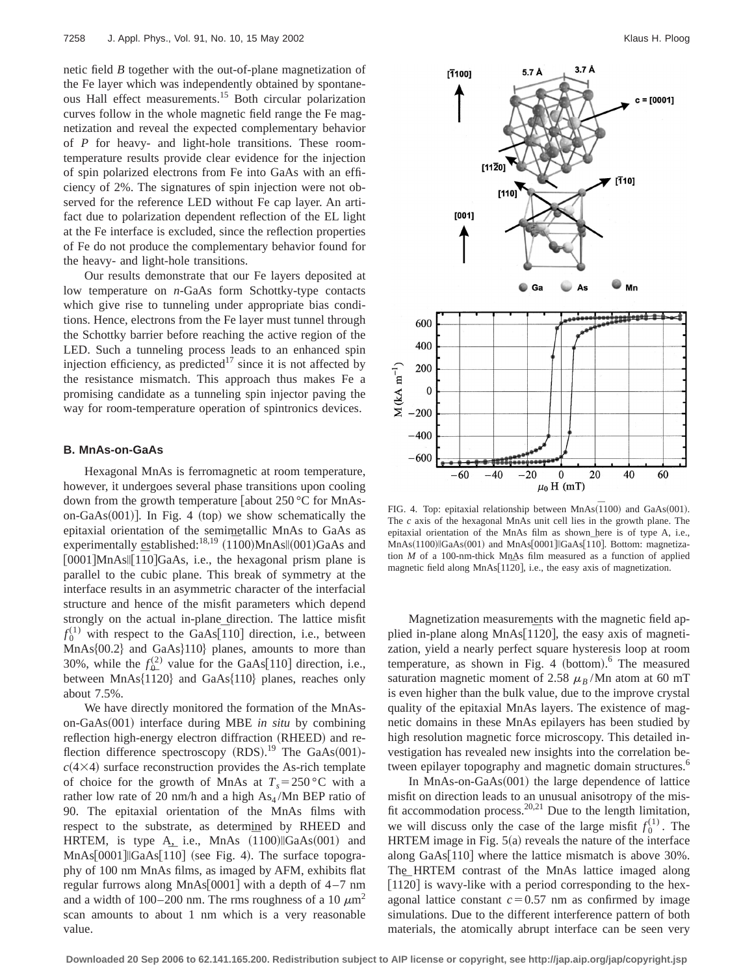netic field *B* together with the out-of-plane magnetization of the Fe layer which was independently obtained by spontaneous Hall effect measurements.15 Both circular polarization curves follow in the whole magnetic field range the Fe magnetization and reveal the expected complementary behavior of *P* for heavy- and light-hole transitions. These roomtemperature results provide clear evidence for the injection of spin polarized electrons from Fe into GaAs with an efficiency of 2%. The signatures of spin injection were not observed for the reference LED without Fe cap layer. An artifact due to polarization dependent reflection of the EL light at the Fe interface is excluded, since the reflection properties of Fe do not produce the complementary behavior found for the heavy- and light-hole transitions.

Our results demonstrate that our Fe layers deposited at low temperature on *n*-GaAs form Schottky-type contacts which give rise to tunneling under appropriate bias conditions. Hence, electrons from the Fe layer must tunnel through the Schottky barrier before reaching the active region of the LED. Such a tunneling process leads to an enhanced spin injection efficiency, as predicted<sup>17</sup> since it is not affected by the resistance mismatch. This approach thus makes Fe a promising candidate as a tunneling spin injector paving the way for room-temperature operation of spintronics devices.

#### **B. MnAs-on-GaAs**

Hexagonal MnAs is ferromagnetic at room temperature, however, it undergoes several phase transitions upon cooling down from the growth temperature [about  $250^{\circ}$ C for MnAson-GaAs $(001)$ . In Fig. 4 (top) we show schematically the epitaxial orientation of the semimetallic MnAs to GaAs as experimentally established:<sup>18,19</sup>  $(1\overline{1}00)$ MnAs $\parallel$ (001)GaAs and  $[0001]$ MnAs||[110]GaAs, i.e., the hexagonal prism plane is parallel to the cubic plane. This break of symmetry at the interface results in an asymmetric character of the interfacial structure and hence of the misfit parameters which depend strongly on the actual in-plane direction. The lattice misfit  $f_0^{(1)}$  with respect to the GaAs<sup>[110]</sup> direction, i.e., between  $MnAs{00.2}$  and  $GaAs{10}$  planes, amounts to more than 30%, while the  $f_{\Omega}^{(2)}$  value for the GaAs[110] direction, i.e., between  $MnAs{1\overline{1}20}$  and  $GaAs{110}$  planes, reaches only about 7.5%.

We have directly monitored the formation of the MnAson-GaAs(001) interface during MBE *in situ* by combining reflection high-energy electron diffraction (RHEED) and reflection difference spectroscopy (RDS).<sup>19</sup> The GaAs(001) $c(4\times4)$  surface reconstruction provides the As-rich template of choice for the growth of MnAs at  $T_s = 250$  °C with a rather low rate of 20 nm/h and a high  $As<sub>4</sub>/Mn$  BEP ratio of 90. The epitaxial orientation of the MnAs films with respect to the substrate, as determined by RHEED and HRTEM, is type A, i.e., MnAs  $(1100)$ ||GaAs $(001)$  and  $MnAs[0001]||GaAs[110]$  (see Fig. 4). The surface topography of 100 nm MnAs films, as imaged by AFM, exhibits flat regular furrows along  $MnAs[0001]$  with a depth of 4–7 nm and a width of 100–200 nm. The rms roughness of a 10  $\mu$ m<sup>2</sup> scan amounts to about 1 nm which is a very reasonable value.



FIG. 4. Top: epitaxial relationship between  $MnAs(\overline{1}100)$  and  $GaAs(001)$ . The *c* axis of the hexagonal MnAs unit cell lies in the growth plane. The epitaxial orientation of the MnAs film as shown here is of type A, i.e., MnAs(1100)||GaAs(001) and MnAs[0001]||GaAs[110]. Bottom: magnetization *M* of a 100-nm-thick MnAs film measured as a function of applied magnetic field along MnAs $[11\overline{2}0]$ , i.e., the easy axis of magnetization.

Magnetization measurements with the magnetic field applied in-plane along  $MnAs[1120]$ , the easy axis of magnetization, yield a nearly perfect square hysteresis loop at room temperature, as shown in Fig. 4 (bottom).<sup>6</sup> The measured saturation magnetic moment of 2.58  $\mu_B$ /Mn atom at 60 mT is even higher than the bulk value, due to the improve crystal quality of the epitaxial MnAs layers. The existence of magnetic domains in these MnAs epilayers has been studied by high resolution magnetic force microscopy. This detailed investigation has revealed new insights into the correlation between epilayer topography and magnetic domain structures.<sup>6</sup>

In MnAs-on-Ga $As(001)$  the large dependence of lattice misfit on direction leads to an unusual anisotropy of the misfit accommodation process.<sup>20,21</sup> Due to the length limitation, we will discuss only the case of the large misfit  $f_0^{(1)}$ . The HRTEM image in Fig.  $5(a)$  reveals the nature of the interface along  $GaAs[110]$  where the lattice mismatch is above 30%. The HRTEM contrast of the MnAs lattice imaged along  $[1120]$  is wavy-like with a period corresponding to the hexagonal lattice constant  $c=0.57$  nm as confirmed by image simulations. Due to the different interference pattern of both materials, the atomically abrupt interface can be seen very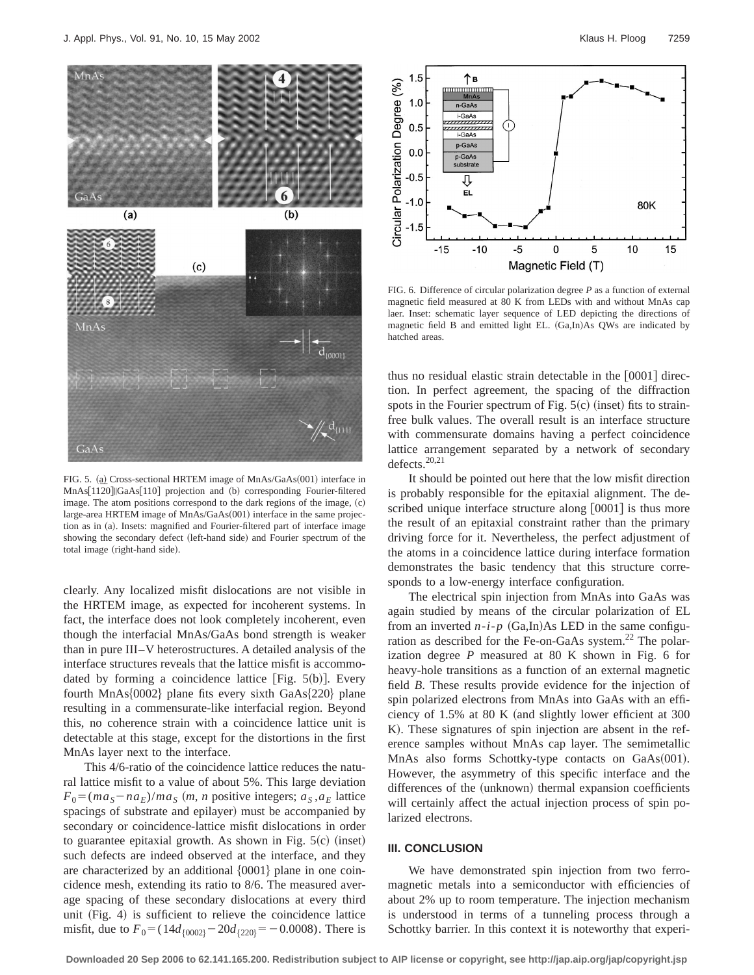

FIG. 5. (a) Cross-sectional HRTEM image of MnAs/GaAs(001) interface in MnAs[1120]||GaAs[110] projection and (b) corresponding Fourier-filtered image. The atom positions correspond to the dark regions of the image,  $(c)$ large-area HRTEM image of MnAs/GaAs(001) interface in the same projection as in (a). Insets: magnified and Fourier-filtered part of interface image showing the secondary defect (left-hand side) and Fourier spectrum of the total image (right-hand side).

clearly. Any localized misfit dislocations are not visible in the HRTEM image, as expected for incoherent systems. In fact, the interface does not look completely incoherent, even though the interfacial MnAs/GaAs bond strength is weaker than in pure III–V heterostructures. A detailed analysis of the interface structures reveals that the lattice misfit is accommodated by forming a coincidence lattice  $[Fig. 5(b)].$  Every fourth  $MnAs{0002}$  plane fits every sixth  $GaAs{220}$  plane resulting in a commensurate-like interfacial region. Beyond this, no coherence strain with a coincidence lattice unit is detectable at this stage, except for the distortions in the first MnAs layer next to the interface.

This 4/6-ratio of the coincidence lattice reduces the natural lattice misfit to a value of about 5%. This large deviation  $F_0 = (ma_S - na_E)/ma_S$  (*m*, *n* positive integers;  $a_S, a_E$  lattice spacings of substrate and epilayer) must be accompanied by secondary or coincidence-lattice misfit dislocations in order to guarantee epitaxial growth. As shown in Fig.  $5(c)$  (inset) such defects are indeed observed at the interface, and they are characterized by an additional  $\{0001\}$  plane in one coincidence mesh, extending its ratio to 8/6. The measured average spacing of these secondary dislocations at every third unit (Fig. 4) is sufficient to relieve the coincidence lattice misfit, due to  $F_0 = (14d_{0.002} - 20d_{0.20} = -0.0008)$ . There is



FIG. 6. Difference of circular polarization degree *P* as a function of external magnetic field measured at 80 K from LEDs with and without MnAs cap laer. Inset: schematic layer sequence of LED depicting the directions of magnetic field B and emitted light EL. (Ga,In)As QWs are indicated by hatched areas.

thus no residual elastic strain detectable in the  $[0001]$  direction. In perfect agreement, the spacing of the diffraction spots in the Fourier spectrum of Fig.  $5(c)$  (inset) fits to strainfree bulk values. The overall result is an interface structure with commensurate domains having a perfect coincidence lattice arrangement separated by a network of secondary defects. $20,21$ 

It should be pointed out here that the low misfit direction is probably responsible for the epitaxial alignment. The described unique interface structure along  $[0001]$  is thus more the result of an epitaxial constraint rather than the primary driving force for it. Nevertheless, the perfect adjustment of the atoms in a coincidence lattice during interface formation demonstrates the basic tendency that this structure corresponds to a low-energy interface configuration.

The electrical spin injection from MnAs into GaAs was again studied by means of the circular polarization of EL from an inverted  $n-i-p$  (Ga,In)As LED in the same configuration as described for the Fe-on-GaAs system.<sup>22</sup> The polarization degree *P* measured at 80 K shown in Fig. 6 for heavy-hole transitions as a function of an external magnetic field *B*. These results provide evidence for the injection of spin polarized electrons from MnAs into GaAs with an efficiency of  $1.5\%$  at 80 K (and slightly lower efficient at 300 K). These signatures of spin injection are absent in the reference samples without MnAs cap layer. The semimetallic MnAs also forms Schottky-type contacts on GaAs(001). However, the asymmetry of this specific interface and the differences of the (unknown) thermal expansion coefficients will certainly affect the actual injection process of spin polarized electrons.

#### **III. CONCLUSION**

We have demonstrated spin injection from two ferromagnetic metals into a semiconductor with efficiencies of about 2% up to room temperature. The injection mechanism is understood in terms of a tunneling process through a Schottky barrier. In this context it is noteworthy that experi